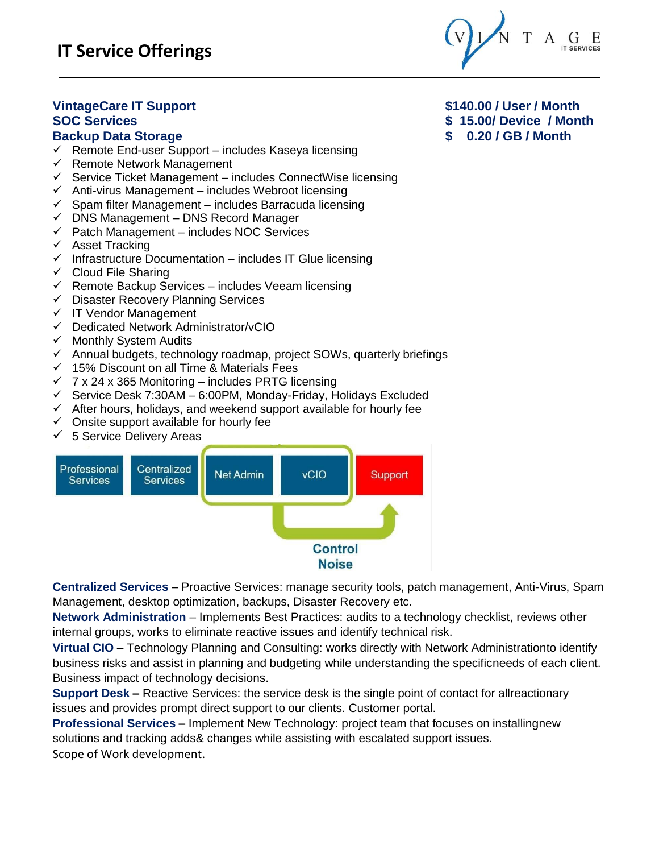

# **VintageCare IT Support \$140.00 / User / Month**

- $\checkmark$  Remote End-user Support includes Kaseya licensing
- $\checkmark$  Remote Network Management
- $\checkmark$  Service Ticket Management includes ConnectWise licensing
- $\checkmark$  Anti-virus Management includes Webroot licensing
- $\checkmark$  Spam filter Management includes Barracuda licensing
- $\checkmark$  DNS Management DNS Record Manager
- $\checkmark$  Patch Management includes NOC Services
- $\checkmark$  Asset Tracking
- $\checkmark$  Infrastructure Documentation includes IT Glue licensing
- $\checkmark$  Cloud File Sharing
- $\checkmark$  Remote Backup Services includes Veeam licensing
- $\checkmark$  Disaster Recovery Planning Services
- $\checkmark$  IT Vendor Management
- $\checkmark$  Dedicated Network Administrator/vCIO
- $\checkmark$  Monthly System Audits
- $\checkmark$  Annual budgets, technology roadmap, project SOWs, quarterly briefings
- $\checkmark$  15% Discount on all Time & Materials Fees
- $\checkmark$  7 x 24 x 365 Monitoring includes PRTG licensing
- $\checkmark$  Service Desk 7:30AM 6:00PM, Monday-Friday, Holidays Excluded
- $\checkmark$  After hours, holidays, and weekend support available for hourly fee
- $\checkmark$  Onsite support available for hourly fee
- $\checkmark$  5 Service Delivery Areas



**Centralized Services** – Proactive Services: manage security tools, patch management, Anti-Virus, Spam Management, desktop optimization, backups, Disaster Recovery etc.

**Network Administration** – Implements Best Practices: audits to a technology checklist, reviews other internal groups, works to eliminate reactive issues and identify technical risk.

**Virtual CIO –** Technology Planning and Consulting: works directly with Network Administrationto identify business risks and assist in planning and budgeting while understanding the specificneeds of each client. Business impact of technology decisions.

**Support Desk –** Reactive Services: the service desk is the single point of contact for allreactionary issues and provides prompt direct support to our clients. Customer portal.

**Professional Services –** Implement New Technology: project team that focuses on installingnew solutions and tracking adds& changes while assisting with escalated support issues.

Scope of Work development.

**SOC Services \$ 15.00/ Device / Month Backup Data Storage \$ 0.20 / GB / Month**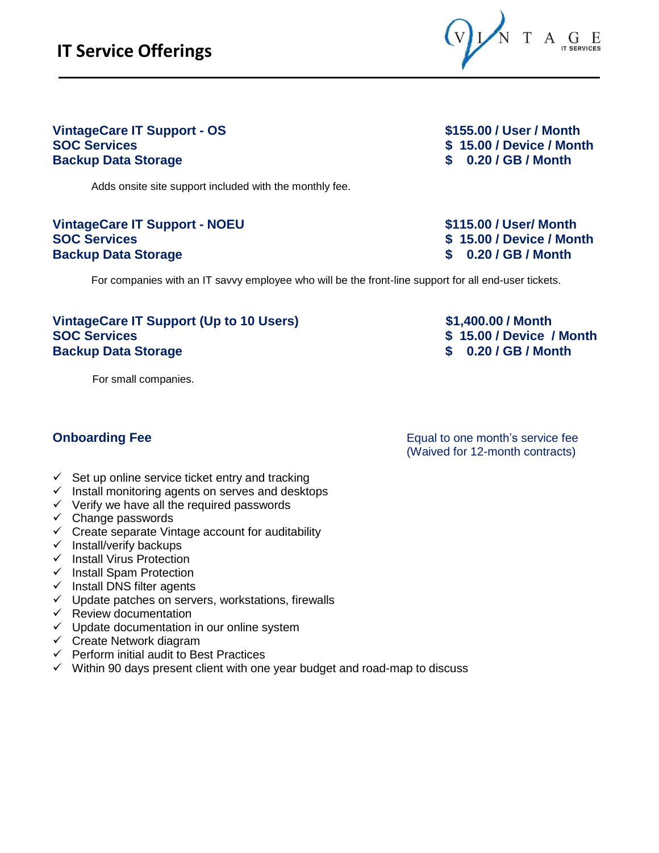

# **VintageCare IT Support - OS \$155.00 / User / Month Backup Data Storage \$ 0.20 / GB / Month**

Adds onsite site support included with the monthly fee.

#### **VintageCare IT Support - NOEU \$115.00 / User/ Month SOC Services \$ 15.00 / Device / Month Backup Data Storage \$ 0.20 / GB / Month**

**SOC Services \$ 15.00 / Device / Month** 

For companies with an IT savvy employee who will be the front-line support for all end-user tickets.

#### **VintageCare IT Support (Up to 10 Users) \$1,400.00 / Month SOC Services \$ 15.00 / Device / Month Backup Data Storage \$ 0.20 / GB / Month**

For small companies.

**Onboarding Fee** Equal to one month's service fee (Waived for 12-month contracts)

- $\checkmark$  Set up online service ticket entry and tracking
- $\checkmark$  Install monitoring agents on serves and desktops
- $\checkmark$  Verify we have all the required passwords
- $\checkmark$  Change passwords
- $\checkmark$  Create separate Vintage account for auditability
- $\checkmark$  Install/verify backups
- $\checkmark$  Install Virus Protection
- $\checkmark$  Install Spam Protection
- $\checkmark$  Install DNS filter agents
- $\checkmark$  Update patches on servers, workstations, firewalls
- $\checkmark$  Review documentation
- $\checkmark$  Update documentation in our online system
- $\checkmark$  Create Network diagram
- $\checkmark$  Perform initial audit to Best Practices
- $\checkmark$  Within 90 days present client with one year budget and road-map to discuss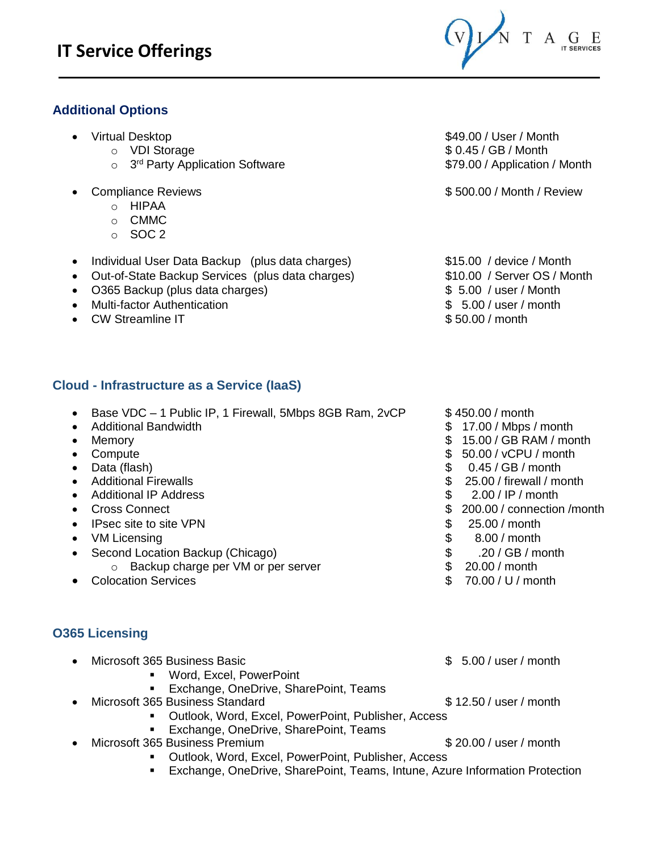### **Additional Options**

- -
	- o 3<sup>rd</sup> Party Application Software **\$79.00** / Application / Month
- - o HIPAA
	- o CMMC
	- $\circ$  SOC 2
- Individual User Data Backup (plus data charges) **\$15.00** / device / Month
- Out-of-State Backup Services (plus data charges)  $$10.00 /$  Server OS / Month
- O365 Backup (plus data charges) \$ 5.00 / user / Month
- Multi-factor Authentication \$ 5.00 / user / month
- CW Streamline IT and the streamline IT and the streamline IT and the streamline in the streamline in the streamline in the streamline in the streamline in the streamline in the streamline in the streamline in the streaml

### **Cloud - Infrastructure as a Service (IaaS)**

- Base VDC 1 Public IP, 1 Firewall, 5Mbps 8GB Ram, 2vCP \$ 450.00 / month<br>● Additional Bandwidth
- 
- 
- 
- 
- 
- 
- 
- IPsec site to site VPN  $\bullet$  1995.00 / month
- VM Licensing \$ 8.00 / month
- Second Location Backup (Chicago)  $$30 / GB / month$ o Backup charge per VM or per server **business** 20.00 / month
- Colocation Services **by Colocation Services by Colocation Services by Colocation Services by Colocation Services**

#### **O365 Licensing**

- Microsoft 365 Business Basic **5.00 / user / month** 
	- Word, Excel, PowerPoint
		- Exchange, OneDrive, SharePoint, Teams
- Microsoft 365 Business Standard \$ 12.50 / user / month
	- Outlook, Word, Excel, PowerPoint, Publisher, Access
	- **Exchange, OneDrive, SharePoint, Teams**
- Microsoft 365 Business Premium **6 and 1997 Contract 10 and 10 and 10 and 10 and 10 and 10 and 10 and 10 and 10 and 10 and 10 and 10 and 10 and 10 and 10 and 10 and 10 and 10 and 10 and 10 and 10 and 10 and 10 and 10 and** 
	- Outlook, Word, Excel, PowerPoint, Publisher, Access
	- Exchange, OneDrive, SharePoint, Teams, Intune, Azure Information Protection

• Virtual Desktop **\$49.00 / User / Month** o VDI Storage \$ 0.45 / GB / Month

• Compliance Reviews **6 2000 / Month / Review 500.00 / Month / Review** 

- 
- 
- 
- 
- 
- \$ 17.00 / Mbps / month
- Memory **6 20 and 10 and 10 and 10 and 10 and 10 and 10 and 10 and 10 and 10 and 10 and 10 and 10 and 10 and 10 and 10 and 10 and 10 and 10 and 10 and 10 and 10 and 10 and 10 and 10 and 10 and 10 and 10 and 10 and 10 and**
- Compute Sample Solution in the set of the set of the set of the set of the set of the set of the set of the set of the set of the set of the set of the set of the set of the set of the set of the set of the set of the s
- Data (flash)  $$ 0.45 / GB / month$
- Additional Firewalls **by a 25.00 and 10.000 firewall / month 6 25.00 and 10.000 firewall / month** 
	- Additional IP Address **but a 2.00 / IP / month**
- Cross Connect **\$ 200.00 / connection /month** 
	-
	-
	-
	-
	-
	-
	-
	-

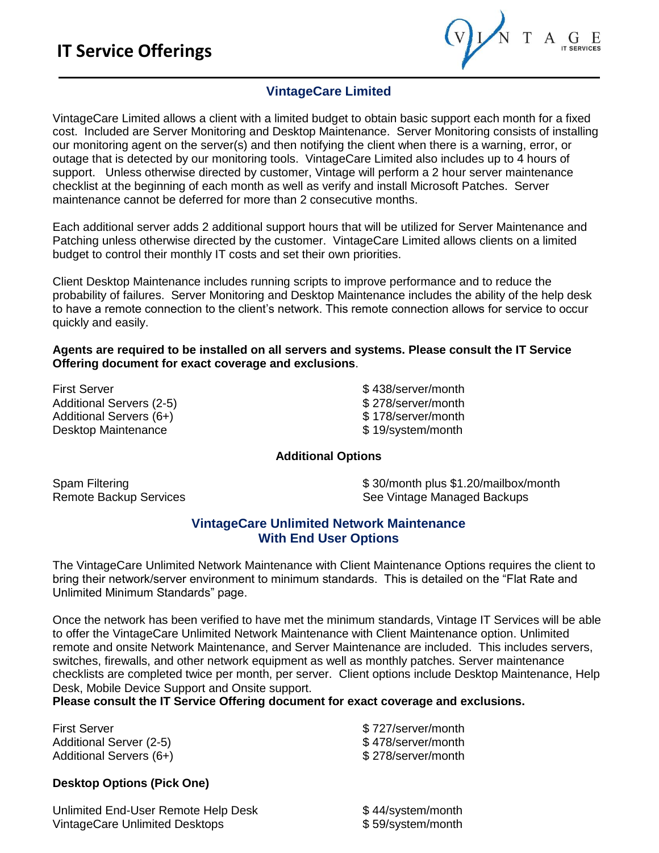$T A_{\text{IT SERIES}}$ 

#### **VintageCare Limited**

VintageCare Limited allows a client with a limited budget to obtain basic support each month for a fixed cost. Included are Server Monitoring and Desktop Maintenance. Server Monitoring consists of installing our monitoring agent on the server(s) and then notifying the client when there is a warning, error, or outage that is detected by our monitoring tools. VintageCare Limited also includes up to 4 hours of support. Unless otherwise directed by customer, Vintage will perform a 2 hour server maintenance checklist at the beginning of each month as well as verify and install Microsoft Patches. Server maintenance cannot be deferred for more than 2 consecutive months.

Each additional server adds 2 additional support hours that will be utilized for Server Maintenance and Patching unless otherwise directed by the customer. VintageCare Limited allows clients on a limited budget to control their monthly IT costs and set their own priorities.

Client Desktop Maintenance includes running scripts to improve performance and to reduce the probability of failures. Server Monitoring and Desktop Maintenance includes the ability of the help desk to have a remote connection to the client's network. This remote connection allows for service to occur quickly and easily.

**Agents are required to be installed on all servers and systems. Please consult the IT Service Offering document for exact coverage and exclusions**.

First Server **but Server** the server of the server server server server server server server server server server Additional Servers (2-5)  $$278/server/month$ Additional Servers (6+)  $$ 178$ /server/month Desktop Maintenance **\$ 19/system/month** 

#### **Additional Options**

Spam Filtering **\$** 30/month plus \$1.20/mailbox/month Remote Backup Services **See Vintage Managed Backups** See Vintage Managed Backups

#### **VintageCare Unlimited Network Maintenance With End User Options**

The VintageCare Unlimited Network Maintenance with Client Maintenance Options requires the client to bring their network/server environment to minimum standards. This is detailed on the "Flat Rate and Unlimited Minimum Standards" page.

Once the network has been verified to have met the minimum standards, Vintage IT Services will be able to offer the VintageCare Unlimited Network Maintenance with Client Maintenance option. Unlimited remote and onsite Network Maintenance, and Server Maintenance are included. This includes servers, switches, firewalls, and other network equipment as well as monthly patches. Server maintenance checklists are completed twice per month, per server. Client options include Desktop Maintenance, Help Desk, Mobile Device Support and Onsite support.

**Please consult the IT Service Offering document for exact coverage and exclusions.** 

First Server **but Server and Server/month** Server/month Additional Server (2-5)  $$478/server/month$ Additional Servers (6+)  $$278/server/month$ 

#### **Desktop Options (Pick One)**

Unlimited End-User Remote Help Desk<br>
VintageCare Unlimited Desktops<br>
\$ 59/system/month VintageCare Unlimited Desktops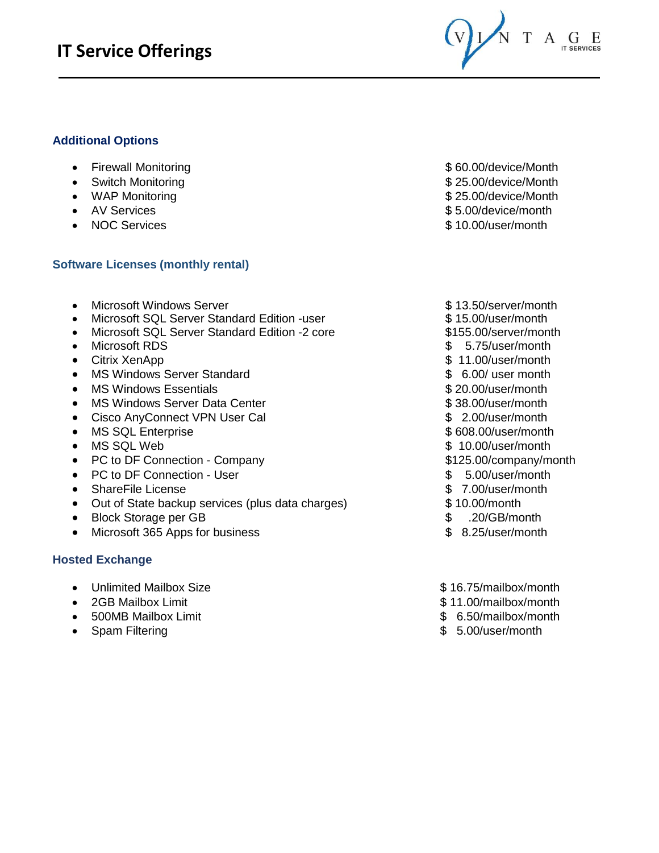## **IT Service Offerings**



#### **Additional Options**

- Firewall Monitoring **by the set of the set of the set of the set of the set of the set of the set of the set of the set of the set of the set of the set of the set of the set of the set of the set of the set of the set o**
- 
- 
- 
- 

#### **Software Licenses (monthly rental)**

- Microsoft Windows Server **\$ 13.50/server/month**
- Microsoft SQL Server Standard Edition -user \$ 15.00/user/month
- Microsoft SQL Server Standard Edition -2 core \$155.00/server/month
- Microsoft RDS \$ 5.75/user/month
- 
- MS Windows Server Standard **by the server standard**  $\bullet$  6.00/ user month
- MS Windows Essentials **but a contract to the CO** and the S 20.00/user/month
- MS Windows Server Data Center **\$ 38.00/user/month**
- Cisco AnyConnect VPN User Cal  $$ 2.00/user/month$
- MS SQL Enterprise **by a contract of the SQL Enterprise by a contract of the SQS.00/user/month**
- MS SQL Web  $\bullet$  MS SQL Web  $\bullet$  10.00/user/month
- PC to DF Connection Company extending the state of \$125.00/company/month
- PC to DF Connection User  $$5.00/user/month$
- ShareFile License  $\sim$  7.00/user/month
- Out of State backup services (plus data charges) \$ 10.00/month
- Block Storage per GB  $$30/GB/m$ onth
- Microsoft 365 Apps for business  $$ 8.25/user/month$

#### **Hosted Exchange**

- Unlimited Mailbox Size **\$ 16.75/mailbox/month**
- 
- 
- Spam Filtering \$ 5.00/user/month
- 
- Switch Monitoring **by a 25.000 and 25.000** Switch Monitoring **by a 25.000** Supering the Supering Section 1.1
- WAP Monitoring **by a 25.00** and the Second Structure of Second Structure Second Structure Second Structure Second Structure Second Structure Second Structure Second Structure Second Structure Second Structure Second Stru
- AV Services **\$ 5.00/device/month**
- NOC Services \$ 10.00/user/month
	-
	-
	-
	-
- Citrix XenApp **b 2018** and 2018 a 11.00/user/month
	-
	-
	-
	-
	-
	-
	-
	-
	-
	-
	-
	-
	-
- 2GB Mailbox Limit  $$ 11.00/m$ ailbox/month
- 500MB Mailbox Limit **\$ 6.50/mailbox/month** 
	-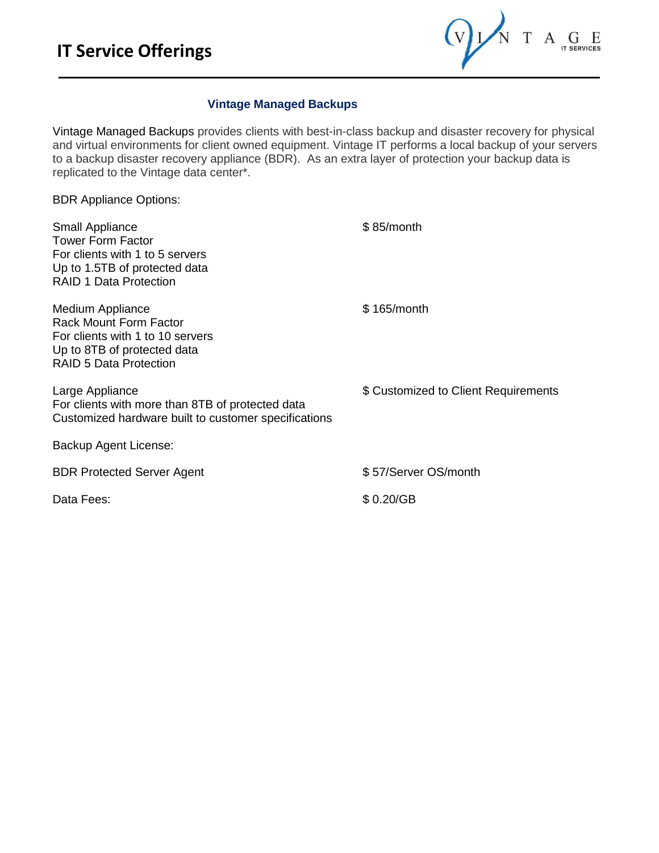$T A \underset{\text{it series}}{\mathbf{G}} E$  $(v)$ 

#### **Vintage Managed Backups**

Vintage Managed Backups provides clients with best-in-class backup and disaster recovery for physical and virtual environments for client owned equipment. Vintage IT performs a local backup of your servers to a backup disaster recovery appliance (BDR). As an extra layer of protection your backup data is replicated to the Vintage data center\*.

BDR Appliance Options:

| <b>Small Appliance</b><br><b>Tower Form Factor</b><br>For clients with 1 to 5 servers<br>Up to 1.5TB of protected data<br><b>RAID 1 Data Protection</b> | $$85/m$ onth                         |
|---------------------------------------------------------------------------------------------------------------------------------------------------------|--------------------------------------|
| Medium Appliance<br><b>Rack Mount Form Factor</b><br>For clients with 1 to 10 servers<br>Up to 8TB of protected data<br>RAID 5 Data Protection          | \$165/month                          |
| Large Appliance<br>For clients with more than 8TB of protected data<br>Customized hardware built to customer specifications                             | \$ Customized to Client Requirements |
| Backup Agent License:                                                                                                                                   |                                      |
| <b>BDR Protected Server Agent</b>                                                                                                                       | \$57/Server OS/month                 |
| Data Fees:                                                                                                                                              | \$0.20/GB                            |